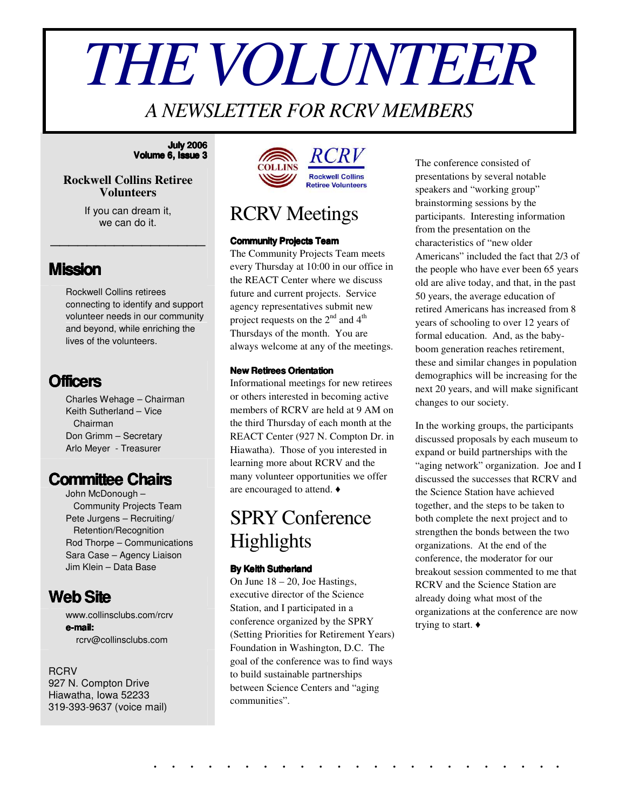# *THEVOLUNTEER*

### *A NEWSLETTER FOR RCRV MEMBERS*

#### **July 2006 Volume 6, Issue 3**

#### **Rockwell Collins Retiree Volunteers**

If you can dream it, we can do it.

\_\_\_\_\_\_\_\_\_\_\_\_\_\_\_\_\_

#### **Mission**

Rockwell Collins retirees connecting to identify and support volunteer needs in our community and beyond, while enriching the lives of the volunteers.

#### **Officers**

Charles Wehage – Chairman Keith Sutherland – Vice Chairman Don Grimm – Secretary Arlo Meyer - Treasurer

#### **Committee Chairs**

John McDonough – Community Projects Team Pete Jurgens – Recruiting/ Retention/Recognition Rod Thorpe – Communications Sara Case – Agency Liaison Jim Klein – Data Base

#### **WebSite**

[www.collinsclubs.com/rcrv](http://www.collinsclubs.com/rcrv/) **e-mail:** rcrv@collinsclubs.com

#### RCRV

927 N. Compton Drive Hiawatha, Iowa 52233 319-393-9637 (voice mail)



### RCRV Meetings

#### **Community Projects Team**

The Community Projects Team meets every Thursday at 10:00 in our office in the REACT Center where we discuss future and current projects. Service agency representatives submit new project requests on the  $2^{nd}$  and  $4^{th}$ Thursdays of the month. You are always welcome at any of the meetings.

#### **New Retirees Orientation**

Informational meetings for new retirees or others interested in becoming active members of RCRV are held at 9 AM on the third Thursday of each month at the REACT Center (927 N. Compton Dr. in Hiawatha). Those of you interested in learning more about RCRV and the many volunteer opportunities we offer are encouraged to attend.

### SPRY Conference Highlights

#### **By Keith Sutherland**

On June 18 – 20, Joe Hastings, executive director of the Science Station, and I participated in a conference organized by the SPRY (Setting Priorities for Retirement Years) Foundation in Washington, D.C. The goal of the conference was to find ways to build sustainable partnerships between Science Centers and "aging communities".

. . . . . . . . . . . . . . . . . . . . . . .

The conference consisted of presentations by several notable speakers and "working group" brainstorming sessions by the participants. Interesting information from the presentation on the characteristics of "new older Americans" included the fact that 2/3 of the people who have ever been 65 years old are alive today, and that, in the past 50 years, the average education of retired Americans has increased from 8 years of schooling to over 12 years of formal education. And, as the babyboom generation reaches retirement, these and similar changes in population demographics will be increasing for the next 20 years, and will make significant changes to our society.

In the working groups, the participants discussed proposals by each museum to expand or build partnerships with the "aging network" organization. Joe and I discussed the successes that RCRV and the Science Station have achieved together, and the steps to be taken to both complete the next project and to strengthen the bonds between the two organizations. At the end of the conference, the moderator for our breakout session commented to me that RCRV and the Science Station are already doing what most of the organizations at the conference are now trying to start.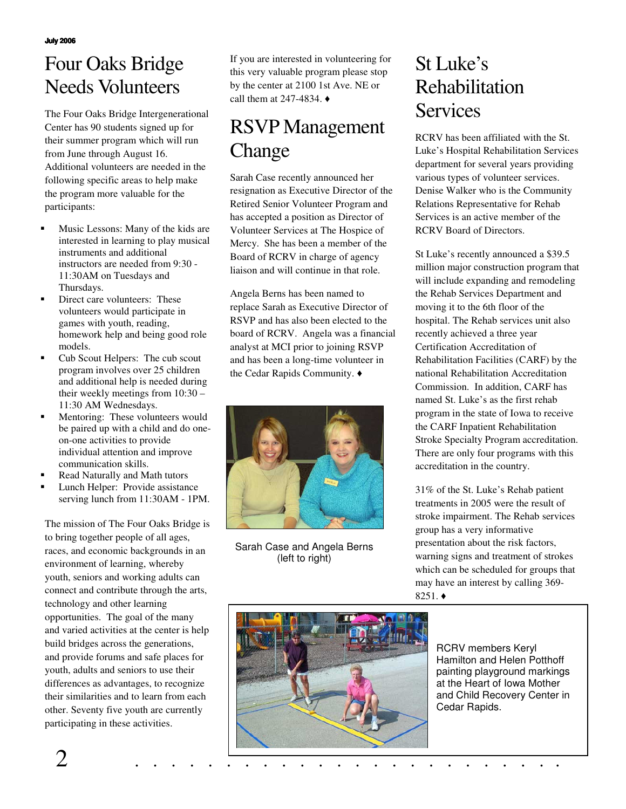# Four Oaks Bridge Needs Volunteers

The Four Oaks Bridge Intergenerational Center has 90 students signed up for their summer program which will run from June through August 16. Additional volunteers are needed in the following specific areas to help make the program more valuable for the participants:

- Music Lessons: Many of the kids are interested in learning to play musical instruments and additional instructors are needed from 9:30 - 11:30AM on Tuesdays and Thursdays.
- Direct care volunteers: These volunteers would participate in games with youth, reading, homework help and being good role models.
- Cub Scout Helpers: The cub scout program involves over 25 children and additional help is needed during their weekly meetings from 10:30 – 11:30 AM Wednesdays.
- Mentoring: These volunteers would be paired up with a child and do oneon-one activities to provide individual attention and improve communication skills.
- Read Naturally and Math tutors
- Lunch Helper: Provide assistance serving lunch from 11:30AM - 1PM.

The mission of The Four Oaks Bridge is to bring together people of all ages, races, and economic backgrounds in an environment of learning, whereby youth, seniors and working adults can connect and contribute through the arts, technology and other learning opportunities. The goal of the many and varied activities at the center is help build bridges across the generations, and provide forums and safe places for youth, adults and seniors to use their differences as advantages, to recognize their similarities and to learn from each other. Seventy five youth are currently participating in these activities.

If you are interested in volunteering for this very valuable program please stop by the center at 2100 1st Ave. NE or call them at 247-4834.  $\triangleleft$ 

# RSVP Management Change

Sarah Case recently announced her resignation as Executive Director of the Retired Senior Volunteer Program and has accepted a position as Director of Volunteer Services at The Hospice of Mercy. She has been a member of the Board of RCRV in charge of agency liaison and will continue in that role.

Angela Berns has been named to replace Sarah as Executive Director of RSVP and has also been elected to the board of RCRV. Angela was a financial analyst at MCI prior to joining RSVP and has been a long-time volunteer in the Cedar Rapids Community.



Sarah Case and Angela Berns (left to right)

### St Luke's Rehabilitation **Services**

RCRV has been affiliated with the St. Luke's Hospital Rehabilitation Services department for several years providing various types of volunteer services. Denise Walker who is the Community Relations Representative for Rehab Services is an active member of the RCRV Board of Directors.

St Luke's recently announced a \$39.5 million major construction program that will include expanding and remodeling the Rehab Services Department and moving it to the 6th floor of the hospital. The Rehab services unit also recently achieved a three year Certification Accreditation of Rehabilitation Facilities (CARF) by the national Rehabilitation Accreditation Commission. In addition, CARF has named St. Luke's as the first rehab program in the state of Iowa to receive the CARF Inpatient Rehabilitation Stroke Specialty Program accreditation. There are only four programs with this accreditation in the country.

31% of the St. Luke's Rehab patient treatments in 2005 were the result of stroke impairment. The Rehab services group has a very informative presentation about the risk factors, warning signs and treatment of strokes which can be scheduled for groups that may have an interest by calling 369-  $8251.$   $\triangleleft$ 



RCRV members Keryl Hamilton and Helen Potthoff painting playground markings at the Heart of Iowa Mother and Child Recovery Center in Cedar Rapids.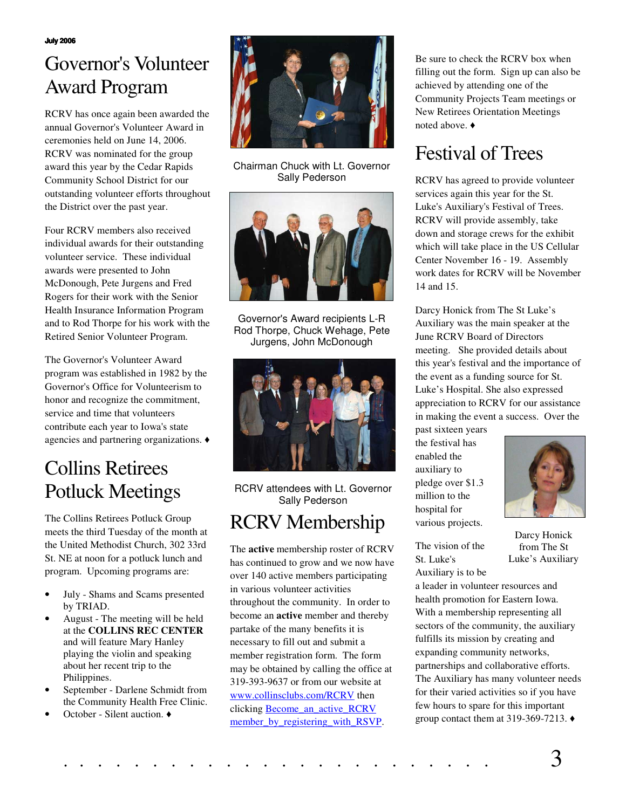**July 2006**

# Governor's Volunteer Award Program

RCRV has once again been awarded the annual Governor's Volunteer Award in ceremonies held on June 14, 2006. RCRV was nominated for the group award this year by the Cedar Rapids Community School District for our outstanding volunteer efforts throughout the District over the past year.

Four RCRV members also received individual awards for their outstanding volunteer service. These individual awards were presented to John McDonough, Pete Jurgens and Fred Rogers for their work with the Senior Health Insurance Information Program and to Rod Thorpe for his work with the Retired Senior Volunteer Program.

The Governor's Volunteer Award program was established in 1982 by the Governor's Office for Volunteerism to honor and recognize the commitment, service and time that volunteers contribute each year to Iowa's state agencies and partnering organizations.

# Collins Retirees Potluck Meetings

The Collins Retirees Potluck Group meets the third Tuesday of the month at the United Methodist Church, 302 33rd St. NE at noon for a potluck lunch and program. Upcoming programs are:

- July Shams and Scams presented by TRIAD.
- August The meeting will be held at the **COLLINS REC CENTER** and will feature Mary Hanley playing the violin and speaking about her recent trip to the Philippines.
- September Darlene Schmidt from the Community Health Free Clinic.
- October Silent auction. ♦



Chairman Chuck with Lt. Governor Sally Pederson



Governor's Award recipients L-R Rod Thorpe, Chuck Wehage, Pete Jurgens, John McDonough



RCRV attendees with Lt. Governor Sally Pederson

### RCRV Membership

The **active** membership roster of RCRV has continued to grow and we now have over 140 active members participating in various volunteer activities throughout the community. In order to become an **active** member and thereby partake of the many benefits it is necessary to fill out and submit a member registration form. The form may be obtained by calling the office at 319-393-9637 or from our website at [www.collinsclubs.com/RCRV](http://www.collinsclubs.com/rcrv/) then clicking **Become** an active RCRV [member\\_by\\_registering\\_with\\_RSVP.](http://www.stlukescr.org/body.cfm?id=358)

Be sure to check the RCRV box when filling out the form. Sign up can also be achieved by attending one of the Community Projects Team meetings or New Retirees Orientation Meetings noted above.

### Festival of Trees

RCRV has agreed to provide volunteer services again this year for the St. Luke's Auxiliary's Festival of Trees. RCRV will provide assembly, take down and storage crews for the exhibit which will take place in the US Cellular Center November 16 - 19. Assembly work dates for RCRV will be November 14 and 15.

Darcy Honick from The St Luke's Auxiliary was the main speaker at the June RCRV Board of Directors meeting. She provided details about this year's festival and the importance of the event as a funding source for St. Luke's Hospital. She also expressed appreciation to RCRV for our assistance in making the event a success. Over the

past sixteen years the festival has enabled the auxiliary to pledge over \$1.3 million to the hospital for various projects.

The vision of the St. Luke's Auxiliary is to be



Darcy Honick from The St Luke's Auxiliary

a leader in volunteer resources and health promotion for Eastern Iowa. With a membership representing all sectors of the community, the auxiliary fulfills its mission by creating and expanding community networks, partnerships and collaborative efforts. The Auxiliary has many volunteer needs for their varied activities so if you have few hours to spare for this important group contact them at 319-369-7213.  $\triangleleft$